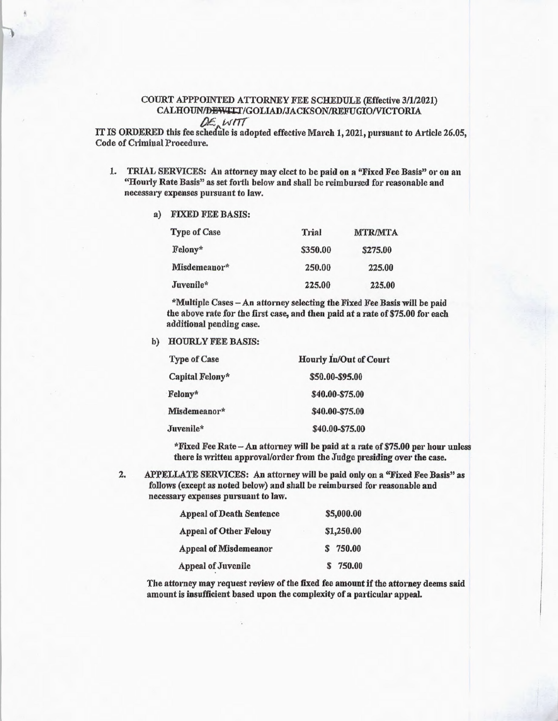## COURT APPPOINTED ATTORNEY FEE SCHEDULE (Effective 3/1/2021) CALHOUN/DEWITT/GOLIAD/JACKSON/REFUGIO/VICTORIA

IT IS ORDERED this fee schedule is adopted effective March 1, 2021, pursuant to Article 26.05, Code of Criminal Procedure.

- 1. TRIAL SERVICES: An attorney may elect to he paid on a "Fixed Fee Basis" or on an "Hourly Rate Basis" as set forth below and shall be reimbursed for reasonable and necessary expenses pursuant to law.
	- a) FIXED FEE BASIS:

| <b>Type of Case</b> | Trial    | <b>MTR/MTA</b> |
|---------------------|----------|----------------|
| Felony*             | \$350.00 | \$275.00       |
| Misdemeanor*        | 250.00   | 225.00         |
| Juvenile*           | 225.00   | 225.00         |

\*Multiple Cases — An attorney selecting the Fixed Fee Basis will be paid the above rate for the first case, and then paid at a rate of \$75.00 for each additional pending case.

b) HOURLY FEE BASIS:

| <b>Type of Case</b> | <b>Hourly In/Out of Court</b> |  |
|---------------------|-------------------------------|--|
| Capital Felony*     | \$50.00-\$95.00               |  |
| Felony*             | \$40.00-\$75.00               |  |
| Misdemeanor*        | \$40.00-\$75.00               |  |
| Juvenile*           | \$40.00-\$75.00               |  |

\*Fixed Fee Rate — An attorney will be paid at a rate of \$75.00 per hour unless there is written approval/order from the Judge presiding over the case.

2. APPELLATE SERVICES: An attorney will be paid only on a "Fixed Fee Basis" as follows (except as noted below) and shall be reimbursed for reasonable and necessary expenses pursuant to law.

| <b>Appeal of Death Sentence</b> | \$5,000.00  |  |
|---------------------------------|-------------|--|
| <b>Appeal of Other Felony</b>   | \$1,250.00  |  |
| <b>Appeal of Misdemeanor</b>    | \$750.00    |  |
| <b>Appeal of Juvenile</b>       | 750.00<br>S |  |

The attorney may request review of the fixed fee amount if the attorney deems said **amount is insufficient based upon the complexity of a particular appeal.**